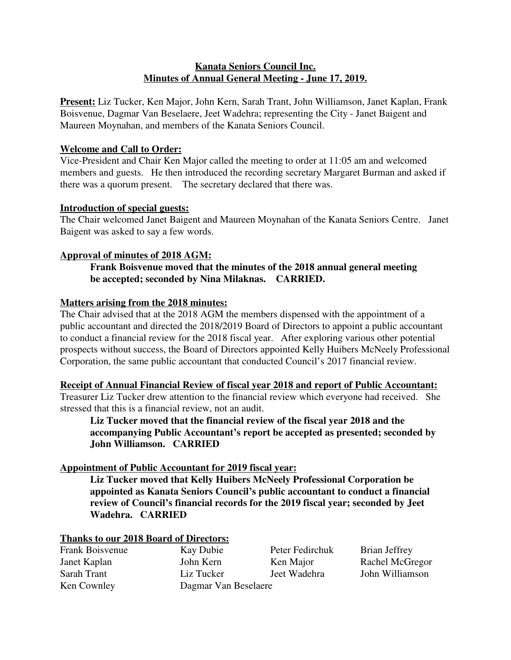## **Kanata Seniors Council Inc. Minutes of Annual General Meeting - June 17, 2019.**

**Present:** Liz Tucker, Ken Major, John Kern, Sarah Trant, John Williamson, Janet Kaplan, Frank Boisvenue, Dagmar Van Beselaere, Jeet Wadehra; representing the City - Janet Baigent and Maureen Moynahan, and members of the Kanata Seniors Council.

### **Welcome and Call to Order:**

Vice-President and Chair Ken Major called the meeting to order at 11:05 am and welcomed members and guests. He then introduced the recording secretary Margaret Burman and asked if there was a quorum present. The secretary declared that there was.

### **Introduction of special guests:**

The Chair welcomed Janet Baigent and Maureen Moynahan of the Kanata Seniors Centre. Janet Baigent was asked to say a few words.

## **Approval of minutes of 2018 AGM:**

## **Frank Boisvenue moved that the minutes of the 2018 annual general meeting be accepted; seconded by Nina Milaknas. CARRIED.**

### **Matters arising from the 2018 minutes:**

The Chair advised that at the 2018 AGM the members dispensed with the appointment of a public accountant and directed the 2018/2019 Board of Directors to appoint a public accountant to conduct a financial review for the 2018 fiscal year. After exploring various other potential prospects without success, the Board of Directors appointed Kelly Huibers McNeely Professional Corporation, the same public accountant that conducted Council's 2017 financial review.

### **Receipt of Annual Financial Review of fiscal year 2018 and report of Public Accountant:**

Treasurer Liz Tucker drew attention to the financial review which everyone had received. She stressed that this is a financial review, not an audit.

**Liz Tucker moved that the financial review of the fiscal year 2018 and the accompanying Public Accountant's report be accepted as presented; seconded by John Williamson. CARRIED**

## **Appointment of Public Accountant for 2019 fiscal year:**

**Liz Tucker moved that Kelly Huibers McNeely Professional Corporation be appointed as Kanata Seniors Council's public accountant to conduct a financial review of Council's financial records for the 2019 fiscal year; seconded by Jeet Wadehra. CARRIED**

### **Thanks to our 2018 Board of Directors:**

Frank Boisvenue Kay Dubie Peter Fedirchuk Brian Jeffrey Janet Kaplan John Kern Ken Major Rachel McGregor Sarah Trant Liz Tucker Jeet Wadehra John Williamson Ken Cownley Dagmar Van Beselaere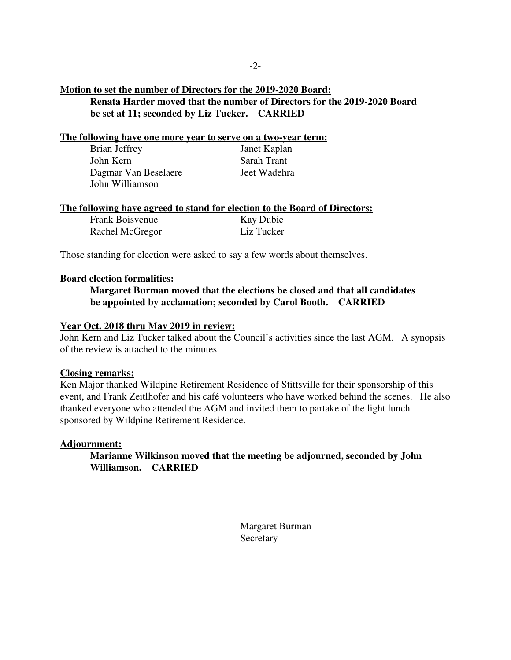### **Motion to set the number of Directors for the 2019-2020 Board: Renata Harder moved that the number of Directors for the 2019-2020 Board be set at 11; seconded by Liz Tucker. CARRIED**

#### **The following have one more year to serve on a two-year term:**

| Brian Jeffrey        | Janet Kaplan |
|----------------------|--------------|
| John Kern            | Sarah Trant  |
| Dagmar Van Beselaere | Jeet Wadehra |
| John Williamson      |              |

#### **The following have agreed to stand for election to the Board of Directors:**

| Frank Boisvenue | <b>Kay Dubie</b> |
|-----------------|------------------|
| Rachel McGregor | Liz Tucker       |

Those standing for election were asked to say a few words about themselves.

#### **Board election formalities:**

### **Margaret Burman moved that the elections be closed and that all candidates be appointed by acclamation; seconded by Carol Booth. CARRIED**

#### **Year Oct. 2018 thru May 2019 in review:**

John Kern and Liz Tucker talked about the Council's activities since the last AGM. A synopsis of the review is attached to the minutes.

#### **Closing remarks:**

Ken Major thanked Wildpine Retirement Residence of Stittsville for their sponsorship of this event, and Frank Zeitlhofer and his café volunteers who have worked behind the scenes. He also thanked everyone who attended the AGM and invited them to partake of the light lunch sponsored by Wildpine Retirement Residence.

#### **Adjournment:**

**Marianne Wilkinson moved that the meeting be adjourned, seconded by John Williamson. CARRIED**

> Margaret Burman Secretary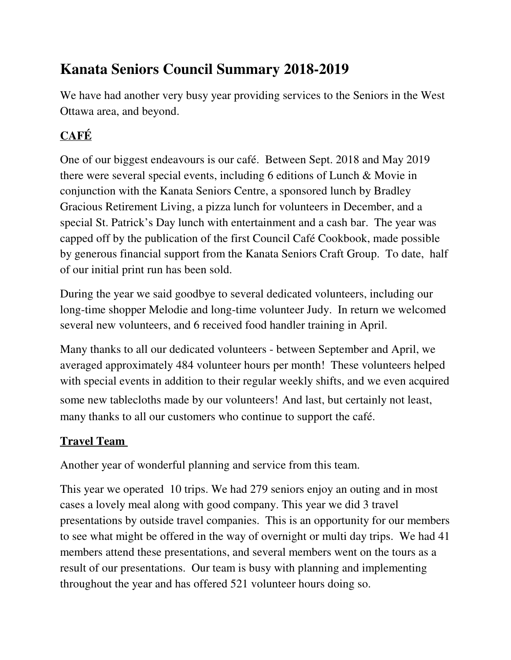# **Kanata Seniors Council Summary 2018-2019**

We have had another very busy year providing services to the Seniors in the West Ottawa area, and beyond.

# **CAFÉ**

One of our biggest endeavours is our café. Between Sept. 2018 and May 2019 there were several special events, including 6 editions of Lunch & Movie in conjunction with the Kanata Seniors Centre, a sponsored lunch by Bradley Gracious Retirement Living, a pizza lunch for volunteers in December, and a special St. Patrick's Day lunch with entertainment and a cash bar. The year was capped off by the publication of the first Council Café Cookbook, made possible by generous financial support from the Kanata Seniors Craft Group. To date, half of our initial print run has been sold.

During the year we said goodbye to several dedicated volunteers, including our long-time shopper Melodie and long-time volunteer Judy. In return we welcomed several new volunteers, and 6 received food handler training in April.

Many thanks to all our dedicated volunteers - between September and April, we averaged approximately 484 volunteer hours per month! These volunteers helped with special events in addition to their regular weekly shifts, and we even acquired some new tablecloths made by our volunteers! And last, but certainly not least, many thanks to all our customers who continue to support the café.

# **Travel Team**

Another year of wonderful planning and service from this team.

This year we operated 10 trips. We had 279 seniors enjoy an outing and in most cases a lovely meal along with good company. This year we did 3 travel presentations by outside travel companies. This is an opportunity for our members to see what might be offered in the way of overnight or multi day trips. We had 41 members attend these presentations, and several members went on the tours as a result of our presentations. Our team is busy with planning and implementing throughout the year and has offered 521 volunteer hours doing so.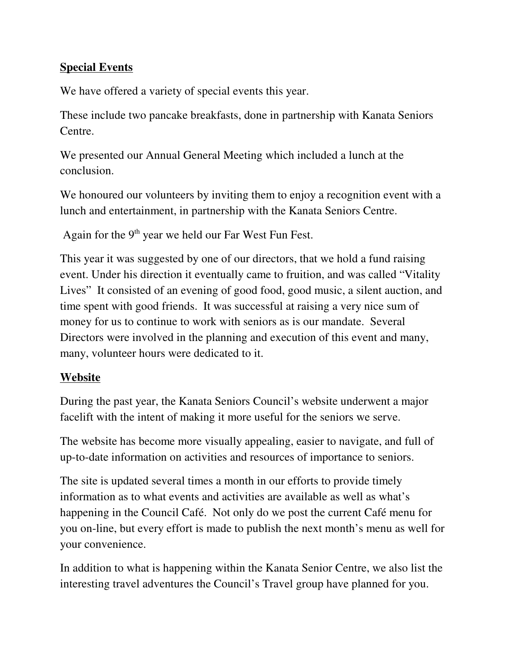# **Special Events**

We have offered a variety of special events this year.

These include two pancake breakfasts, done in partnership with Kanata Seniors Centre.

We presented our Annual General Meeting which included a lunch at the conclusion.

We honoured our volunteers by inviting them to enjoy a recognition event with a lunch and entertainment, in partnership with the Kanata Seniors Centre.

Again for the  $9<sup>th</sup>$  year we held our Far West Fun Fest.

This year it was suggested by one of our directors, that we hold a fund raising event. Under his direction it eventually came to fruition, and was called "Vitality Lives" It consisted of an evening of good food, good music, a silent auction, and time spent with good friends. It was successful at raising a very nice sum of money for us to continue to work with seniors as is our mandate. Several Directors were involved in the planning and execution of this event and many, many, volunteer hours were dedicated to it.

# **Website**

During the past year, the Kanata Seniors Council's website underwent a major facelift with the intent of making it more useful for the seniors we serve.

The website has become more visually appealing, easier to navigate, and full of up-to-date information on activities and resources of importance to seniors.

The site is updated several times a month in our efforts to provide timely information as to what events and activities are available as well as what's happening in the Council Café. Not only do we post the current Café menu for you on-line, but every effort is made to publish the next month's menu as well for your convenience.

In addition to what is happening within the Kanata Senior Centre, we also list the interesting travel adventures the Council's Travel group have planned for you.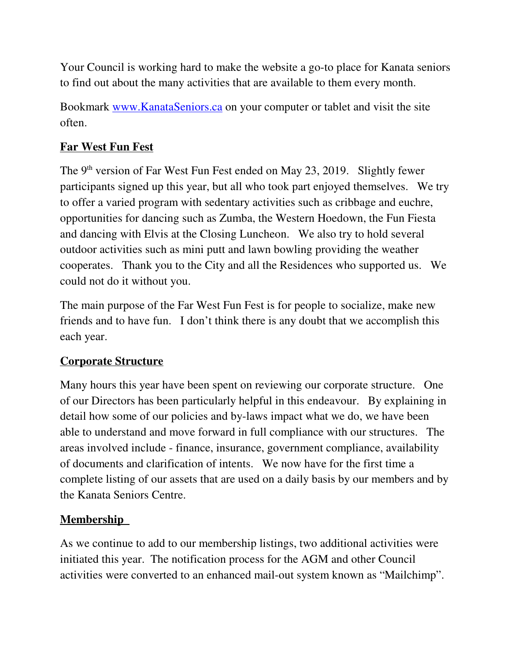Your Council is working hard to make the website a go-to place for Kanata seniors to find out about the many activities that are available to them every month.

Bookmark www.KanataSeniors.ca on your computer or tablet and visit the site often.

# **Far West Fun Fest**

The 9<sup>th</sup> version of Far West Fun Fest ended on May 23, 2019. Slightly fewer participants signed up this year, but all who took part enjoyed themselves. We try to offer a varied program with sedentary activities such as cribbage and euchre, opportunities for dancing such as Zumba, the Western Hoedown, the Fun Fiesta and dancing with Elvis at the Closing Luncheon. We also try to hold several outdoor activities such as mini putt and lawn bowling providing the weather cooperates. Thank you to the City and all the Residences who supported us. We could not do it without you.

The main purpose of the Far West Fun Fest is for people to socialize, make new friends and to have fun. I don't think there is any doubt that we accomplish this each year.

# **Corporate Structure**

Many hours this year have been spent on reviewing our corporate structure. One of our Directors has been particularly helpful in this endeavour. By explaining in detail how some of our policies and by-laws impact what we do, we have been able to understand and move forward in full compliance with our structures. The areas involved include - finance, insurance, government compliance, availability of documents and clarification of intents. We now have for the first time a complete listing of our assets that are used on a daily basis by our members and by the Kanata Seniors Centre.

# **Membership**

As we continue to add to our membership listings, two additional activities were initiated this year. The notification process for the AGM and other Council activities were converted to an enhanced mail-out system known as "Mailchimp".